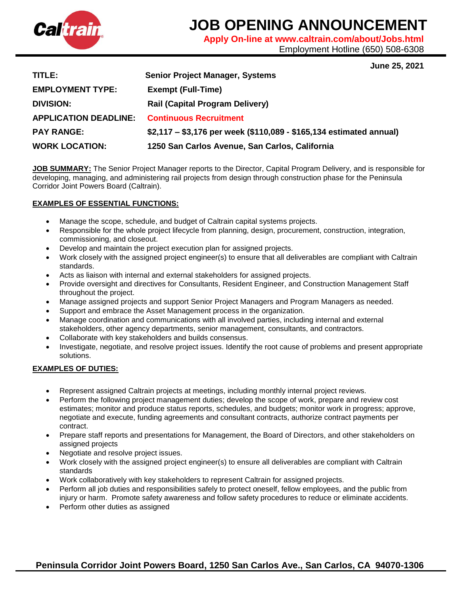

# **JOB OPENING ANNOUNCEMENT**

**Apply On-line at www.caltrain.com/about/Jobs.html** 

Employment Hotline (650) 508-6308

**June 25, 2021**

| TITLE: .                                            | <b>Senior Project Manager, Systems</b>                              |
|-----------------------------------------------------|---------------------------------------------------------------------|
| <b>EMPLOYMENT TYPE:</b>                             | <b>Exempt (Full-Time)</b>                                           |
| <b>DIVISION:</b>                                    | <b>Rail (Capital Program Delivery)</b>                              |
| <b>APPLICATION DEADLINE. Continuous Recruitment</b> |                                                                     |
| <b>PAY RANGE:</b>                                   | \$2,117 – \$3,176 per week (\$110,089 - \$165,134 estimated annual) |
| <b>WORK LOCATION:</b>                               | 1250 San Carlos Avenue, San Carlos, California                      |

**JOB SUMMARY:** The Senior Project Manager reports to the Director, Capital Program Delivery, and is responsible for developing, managing, and administering rail projects from design through construction phase for the Peninsula Corridor Joint Powers Board (Caltrain).

## **EXAMPLES OF ESSENTIAL FUNCTIONS:**

- Manage the scope, schedule, and budget of Caltrain capital systems projects.
- Responsible for the whole project lifecycle from planning, design, procurement, construction, integration, commissioning, and closeout.
- Develop and maintain the project execution plan for assigned projects.
- Work closely with the assigned project engineer(s) to ensure that all deliverables are compliant with Caltrain standards.
- Acts as liaison with internal and external stakeholders for assigned projects.
- Provide oversight and directives for Consultants, Resident Engineer, and Construction Management Staff throughout the project.
- Manage assigned projects and support Senior Project Managers and Program Managers as needed.
- Support and embrace the Asset Management process in the organization.
- Manage coordination and communications with all involved parties, including internal and external stakeholders, other agency departments, senior management, consultants, and contractors.
- Collaborate with key stakeholders and builds consensus.
- Investigate, negotiate, and resolve project issues. Identify the root cause of problems and present appropriate solutions.

# **EXAMPLES OF DUTIES:**

- Represent assigned Caltrain projects at meetings, including monthly internal project reviews.
- Perform the following project management duties; develop the scope of work, prepare and review cost estimates; monitor and produce status reports, schedules, and budgets; monitor work in progress; approve, negotiate and execute, funding agreements and consultant contracts, authorize contract payments per contract.
- Prepare staff reports and presentations for Management, the Board of Directors, and other stakeholders on assigned projects
- Negotiate and resolve project issues.
- Work closely with the assigned project engineer(s) to ensure all deliverables are compliant with Caltrain standards
- Work collaboratively with key stakeholders to represent Caltrain for assigned projects.
- Perform all job duties and responsibilities safely to protect oneself, fellow employees, and the public from injury or harm. Promote safety awareness and follow safety procedures to reduce or eliminate accidents.
- Perform other duties as assigned